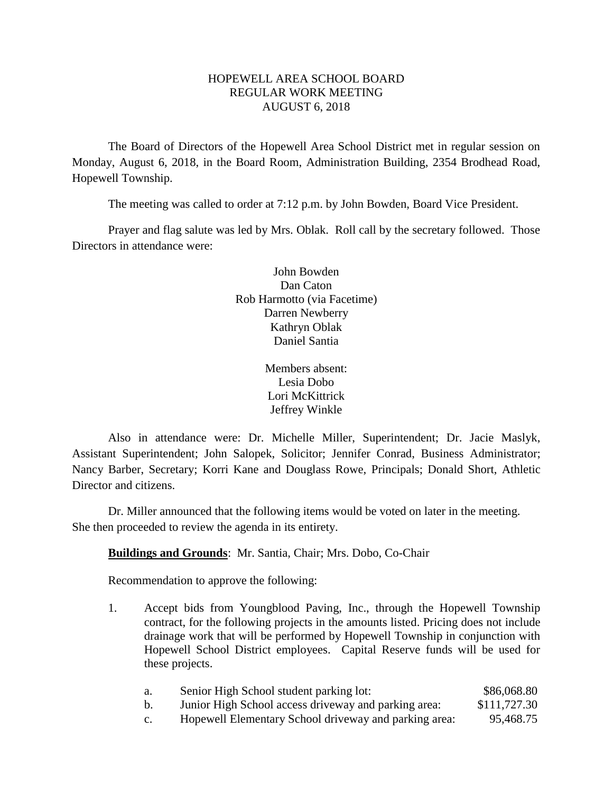## HOPEWELL AREA SCHOOL BOARD REGULAR WORK MEETING AUGUST 6, 2018

The Board of Directors of the Hopewell Area School District met in regular session on Monday, August 6, 2018, in the Board Room, Administration Building, 2354 Brodhead Road, Hopewell Township.

The meeting was called to order at 7:12 p.m. by John Bowden, Board Vice President.

Prayer and flag salute was led by Mrs. Oblak. Roll call by the secretary followed. Those Directors in attendance were:

> John Bowden Dan Caton Rob Harmotto (via Facetime) Darren Newberry Kathryn Oblak Daniel Santia

> > Members absent: Lesia Dobo Lori McKittrick Jeffrey Winkle

Also in attendance were: Dr. Michelle Miller, Superintendent; Dr. Jacie Maslyk, Assistant Superintendent; John Salopek, Solicitor; Jennifer Conrad, Business Administrator; Nancy Barber, Secretary; Korri Kane and Douglass Rowe, Principals; Donald Short, Athletic Director and citizens.

Dr. Miller announced that the following items would be voted on later in the meeting. She then proceeded to review the agenda in its entirety.

## **Buildings and Grounds**: Mr. Santia, Chair; Mrs. Dobo, Co-Chair

Recommendation to approve the following:

- 1. Accept bids from Youngblood Paving, Inc., through the Hopewell Township contract, for the following projects in the amounts listed. Pricing does not include drainage work that will be performed by Hopewell Township in conjunction with Hopewell School District employees. Capital Reserve funds will be used for these projects.
	- a. Senior High School student parking lot: \$86,068.80 b. Junior High School access driveway and parking area: \$111,727.30
	- c. Hopewell Elementary School driveway and parking area: 95,468.75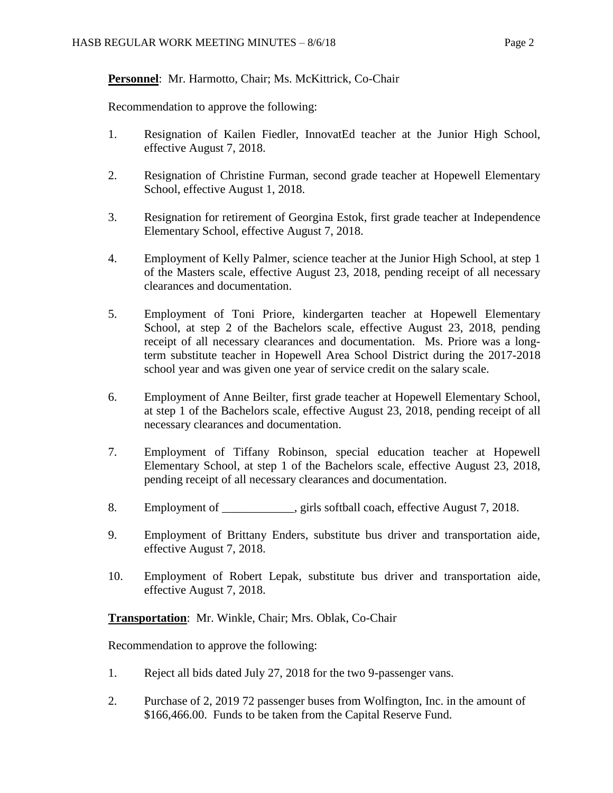# **Personnel**: Mr. Harmotto, Chair; Ms. McKittrick, Co-Chair

Recommendation to approve the following:

- 1. Resignation of Kailen Fiedler, InnovatEd teacher at the Junior High School, effective August 7, 2018.
- 2. Resignation of Christine Furman, second grade teacher at Hopewell Elementary School, effective August 1, 2018.
- 3. Resignation for retirement of Georgina Estok, first grade teacher at Independence Elementary School, effective August 7, 2018.
- 4. Employment of Kelly Palmer, science teacher at the Junior High School, at step 1 of the Masters scale, effective August 23, 2018, pending receipt of all necessary clearances and documentation.
- 5. Employment of Toni Priore, kindergarten teacher at Hopewell Elementary School, at step 2 of the Bachelors scale, effective August 23, 2018, pending receipt of all necessary clearances and documentation. Ms. Priore was a longterm substitute teacher in Hopewell Area School District during the 2017-2018 school year and was given one year of service credit on the salary scale.
- 6. Employment of Anne Beilter, first grade teacher at Hopewell Elementary School, at step 1 of the Bachelors scale, effective August 23, 2018, pending receipt of all necessary clearances and documentation.
- 7. Employment of Tiffany Robinson, special education teacher at Hopewell Elementary School, at step 1 of the Bachelors scale, effective August 23, 2018, pending receipt of all necessary clearances and documentation.
- 8. Employment of example in each state is softball coach, effective August 7, 2018.
- 9. Employment of Brittany Enders, substitute bus driver and transportation aide, effective August 7, 2018.
- 10. Employment of Robert Lepak, substitute bus driver and transportation aide, effective August 7, 2018.

**Transportation**: Mr. Winkle, Chair; Mrs. Oblak, Co-Chair

Recommendation to approve the following:

- 1. Reject all bids dated July 27, 2018 for the two 9-passenger vans.
- 2. Purchase of 2, 2019 72 passenger buses from Wolfington, Inc. in the amount of \$166,466.00. Funds to be taken from the Capital Reserve Fund.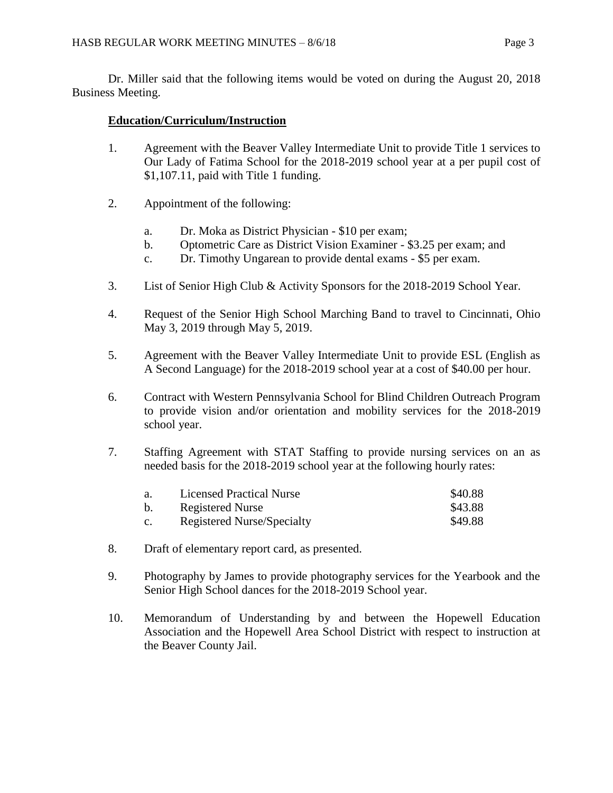Dr. Miller said that the following items would be voted on during the August 20, 2018 Business Meeting.

## **Education/Curriculum/Instruction**

- 1. Agreement with the Beaver Valley Intermediate Unit to provide Title 1 services to Our Lady of Fatima School for the 2018-2019 school year at a per pupil cost of \$1,107.11, paid with Title 1 funding.
- 2. Appointment of the following:
	- a. Dr. Moka as District Physician \$10 per exam;
	- b. Optometric Care as District Vision Examiner \$3.25 per exam; and
	- c. Dr. Timothy Ungarean to provide dental exams \$5 per exam.
- 3. List of Senior High Club & Activity Sponsors for the 2018-2019 School Year.
- 4. Request of the Senior High School Marching Band to travel to Cincinnati, Ohio May 3, 2019 through May 5, 2019.
- 5. Agreement with the Beaver Valley Intermediate Unit to provide ESL (English as A Second Language) for the 2018-2019 school year at a cost of \$40.00 per hour.
- 6. Contract with Western Pennsylvania School for Blind Children Outreach Program to provide vision and/or orientation and mobility services for the 2018-2019 school year.
- 7. Staffing Agreement with STAT Staffing to provide nursing services on an as needed basis for the 2018-2019 school year at the following hourly rates:

| a.             | <b>Licensed Practical Nurse</b> | \$40.88 |
|----------------|---------------------------------|---------|
| b.             | Registered Nurse                | \$43.88 |
| $\mathbf{c}$ . | Registered Nurse/Specialty      | \$49.88 |

- 8. Draft of elementary report card, as presented.
- 9. Photography by James to provide photography services for the Yearbook and the Senior High School dances for the 2018-2019 School year.
- 10. Memorandum of Understanding by and between the Hopewell Education Association and the Hopewell Area School District with respect to instruction at the Beaver County Jail.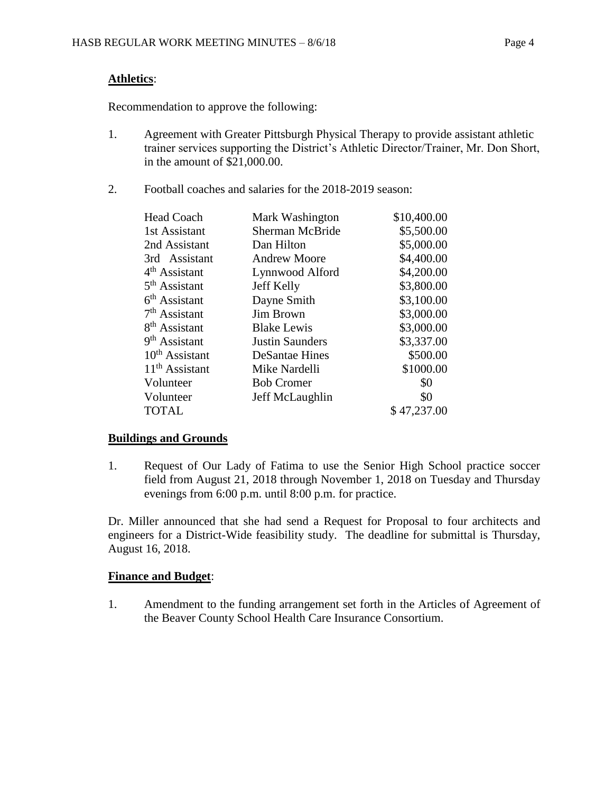# **Athletics**:

Recommendation to approve the following:

- 1. Agreement with Greater Pittsburgh Physical Therapy to provide assistant athletic trainer services supporting the District's Athletic Director/Trainer, Mr. Don Short, in the amount of \$21,000.00.
- 2. Football coaches and salaries for the 2018-2019 season:

| <b>Head Coach</b>         | Mark Washington        | \$10,400.00 |
|---------------------------|------------------------|-------------|
| 1st Assistant             | <b>Sherman McBride</b> | \$5,500.00  |
| 2nd Assistant             | Dan Hilton             | \$5,000.00  |
| 3rd Assistant             | <b>Andrew Moore</b>    | \$4,400.00  |
| 4 <sup>th</sup> Assistant | Lynnwood Alford        | \$4,200.00  |
| 5 <sup>th</sup> Assistant | <b>Jeff Kelly</b>      | \$3,800.00  |
| $6th$ Assistant           | Dayne Smith            | \$3,100.00  |
| $7th$ Assistant           | <b>Jim Brown</b>       | \$3,000.00  |
| 8 <sup>th</sup> Assistant | <b>Blake Lewis</b>     | \$3,000.00  |
| 9 <sup>th</sup> Assistant | <b>Justin Saunders</b> | \$3,337.00  |
| $10th$ Assistant          | <b>DeSantae Hines</b>  | \$500.00    |
| $11th$ Assistant          | Mike Nardelli          | \$1000.00   |
| Volunteer                 | <b>Bob Cromer</b>      | \$0         |
| Volunteer                 | Jeff McLaughlin        | \$0         |
| <b>TOTAL</b>              |                        | \$47,237.00 |

## **Buildings and Grounds**

1. Request of Our Lady of Fatima to use the Senior High School practice soccer field from August 21, 2018 through November 1, 2018 on Tuesday and Thursday evenings from 6:00 p.m. until 8:00 p.m. for practice.

Dr. Miller announced that she had send a Request for Proposal to four architects and engineers for a District-Wide feasibility study. The deadline for submittal is Thursday, August 16, 2018.

# **Finance and Budget**:

1. Amendment to the funding arrangement set forth in the Articles of Agreement of the Beaver County School Health Care Insurance Consortium.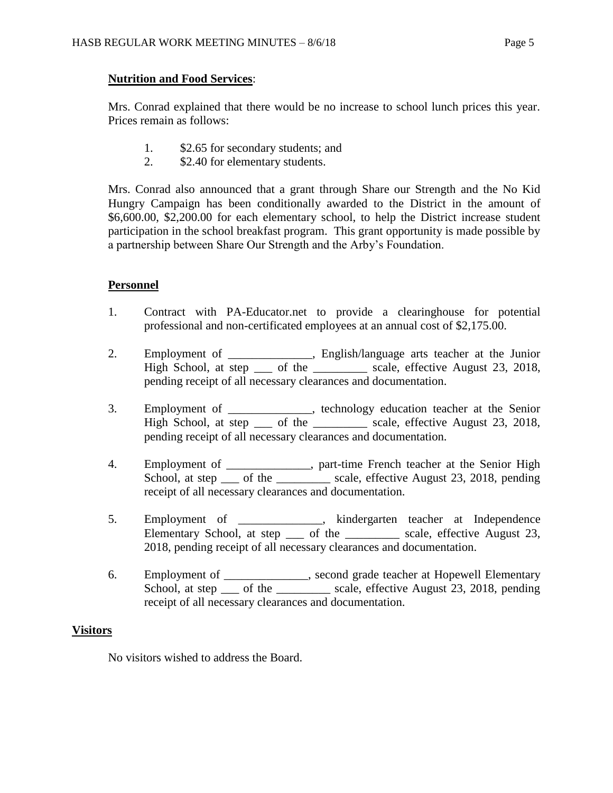## **Nutrition and Food Services**:

Mrs. Conrad explained that there would be no increase to school lunch prices this year. Prices remain as follows:

- 1. \$2.65 for secondary students; and
- 2. \$2.40 for elementary students.

Mrs. Conrad also announced that a grant through Share our Strength and the No Kid Hungry Campaign has been conditionally awarded to the District in the amount of \$6,600.00, \$2,200.00 for each elementary school, to help the District increase student participation in the school breakfast program. This grant opportunity is made possible by a partnership between Share Our Strength and the Arby's Foundation.

## **Personnel**

- 1. Contract with PA-Educator.net to provide a clearinghouse for potential professional and non-certificated employees at an annual cost of \$2,175.00.
- 2. Employment of \_\_\_\_\_\_\_\_\_\_\_\_\_\_, English/language arts teacher at the Junior High School, at step \_\_\_ of the \_\_\_\_\_\_\_\_ scale, effective August 23, 2018, pending receipt of all necessary clearances and documentation.
- 3. Employment of \_\_\_\_\_\_\_\_\_\_\_\_\_\_, technology education teacher at the Senior High School, at step \_\_\_ of the \_\_\_\_\_\_\_\_\_ scale, effective August 23, 2018, pending receipt of all necessary clearances and documentation.
- 4. Employment of \_\_\_\_\_\_\_\_\_\_\_, part-time French teacher at the Senior High School, at step \_\_\_ of the \_\_\_\_\_\_\_\_\_ scale, effective August 23, 2018, pending receipt of all necessary clearances and documentation.
- 5. Employment of \_\_\_\_\_\_\_\_\_\_\_\_\_\_, kindergarten teacher at Independence Elementary School, at step \_\_\_\_ of the \_\_\_\_\_\_\_\_\_\_ scale, effective August 23, 2018, pending receipt of all necessary clearances and documentation.
- 6. Employment of \_\_\_\_\_\_\_\_\_\_\_\_\_\_, second grade teacher at Hopewell Elementary School, at step \_\_\_ of the \_\_\_\_\_\_\_\_\_ scale, effective August 23, 2018, pending receipt of all necessary clearances and documentation.

## **Visitors**

No visitors wished to address the Board.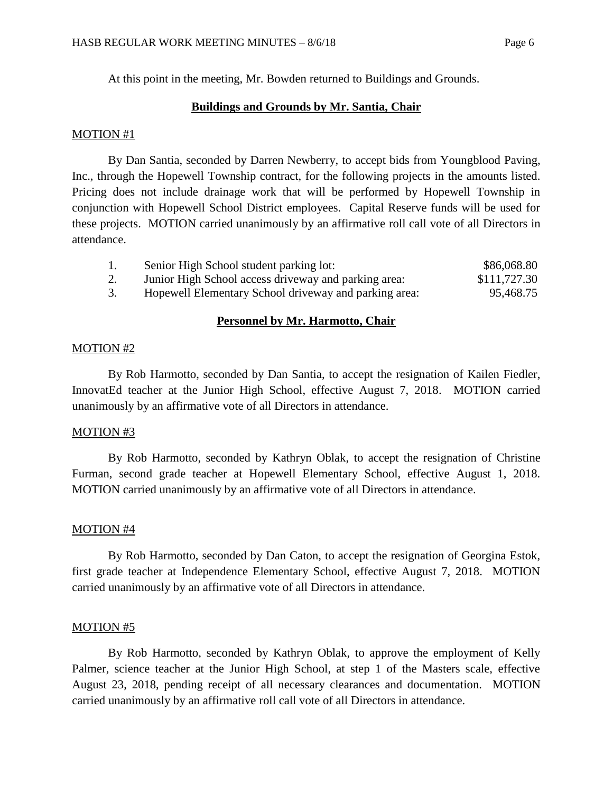At this point in the meeting, Mr. Bowden returned to Buildings and Grounds.

### **Buildings and Grounds by Mr. Santia, Chair**

#### MOTION #1

By Dan Santia, seconded by Darren Newberry, to accept bids from Youngblood Paving, Inc., through the Hopewell Township contract, for the following projects in the amounts listed. Pricing does not include drainage work that will be performed by Hopewell Township in conjunction with Hopewell School District employees. Capital Reserve funds will be used for these projects. MOTION carried unanimously by an affirmative roll call vote of all Directors in attendance.

| 1. | Senior High School student parking lot:               | \$86,068.80  |
|----|-------------------------------------------------------|--------------|
| 2. | Junior High School access driveway and parking area:  | \$111,727.30 |
|    | Hopewell Elementary School driveway and parking area: | 95,468.75    |

### **Personnel by Mr. Harmotto, Chair**

### MOTION #2

By Rob Harmotto, seconded by Dan Santia, to accept the resignation of Kailen Fiedler, InnovatEd teacher at the Junior High School, effective August 7, 2018. MOTION carried unanimously by an affirmative vote of all Directors in attendance.

#### MOTION #3

By Rob Harmotto, seconded by Kathryn Oblak, to accept the resignation of Christine Furman, second grade teacher at Hopewell Elementary School, effective August 1, 2018. MOTION carried unanimously by an affirmative vote of all Directors in attendance.

#### MOTION #4

By Rob Harmotto, seconded by Dan Caton, to accept the resignation of Georgina Estok, first grade teacher at Independence Elementary School, effective August 7, 2018. MOTION carried unanimously by an affirmative vote of all Directors in attendance.

### MOTION #5

By Rob Harmotto, seconded by Kathryn Oblak, to approve the employment of Kelly Palmer, science teacher at the Junior High School, at step 1 of the Masters scale, effective August 23, 2018, pending receipt of all necessary clearances and documentation. MOTION carried unanimously by an affirmative roll call vote of all Directors in attendance.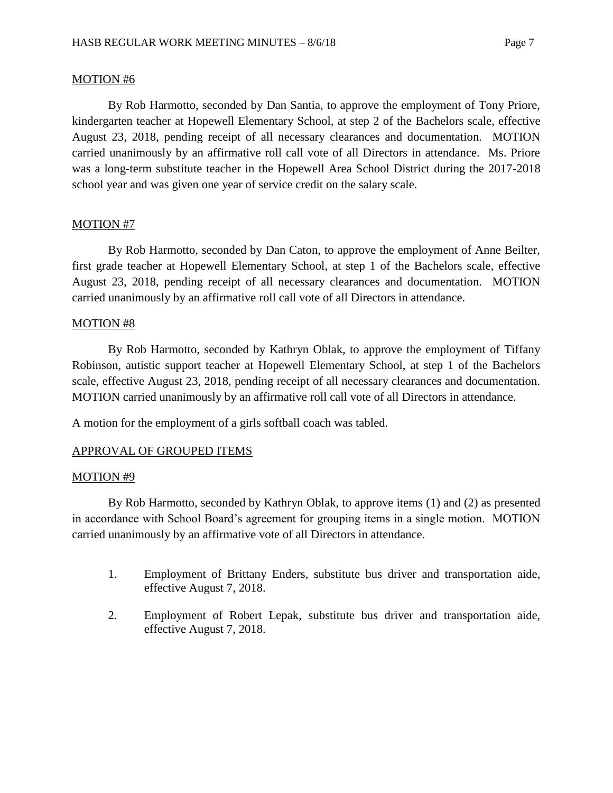### MOTION #6

By Rob Harmotto, seconded by Dan Santia, to approve the employment of Tony Priore, kindergarten teacher at Hopewell Elementary School, at step 2 of the Bachelors scale, effective August 23, 2018, pending receipt of all necessary clearances and documentation. MOTION carried unanimously by an affirmative roll call vote of all Directors in attendance. Ms. Priore was a long-term substitute teacher in the Hopewell Area School District during the 2017-2018 school year and was given one year of service credit on the salary scale.

# MOTION #7

By Rob Harmotto, seconded by Dan Caton, to approve the employment of Anne Beilter, first grade teacher at Hopewell Elementary School, at step 1 of the Bachelors scale, effective August 23, 2018, pending receipt of all necessary clearances and documentation. MOTION carried unanimously by an affirmative roll call vote of all Directors in attendance.

## MOTION #8

By Rob Harmotto, seconded by Kathryn Oblak, to approve the employment of Tiffany Robinson, autistic support teacher at Hopewell Elementary School, at step 1 of the Bachelors scale, effective August 23, 2018, pending receipt of all necessary clearances and documentation. MOTION carried unanimously by an affirmative roll call vote of all Directors in attendance.

A motion for the employment of a girls softball coach was tabled.

## APPROVAL OF GROUPED ITEMS

### MOTION #9

By Rob Harmotto, seconded by Kathryn Oblak, to approve items (1) and (2) as presented in accordance with School Board's agreement for grouping items in a single motion. MOTION carried unanimously by an affirmative vote of all Directors in attendance.

- 1. Employment of Brittany Enders, substitute bus driver and transportation aide, effective August 7, 2018.
- 2. Employment of Robert Lepak, substitute bus driver and transportation aide, effective August 7, 2018.